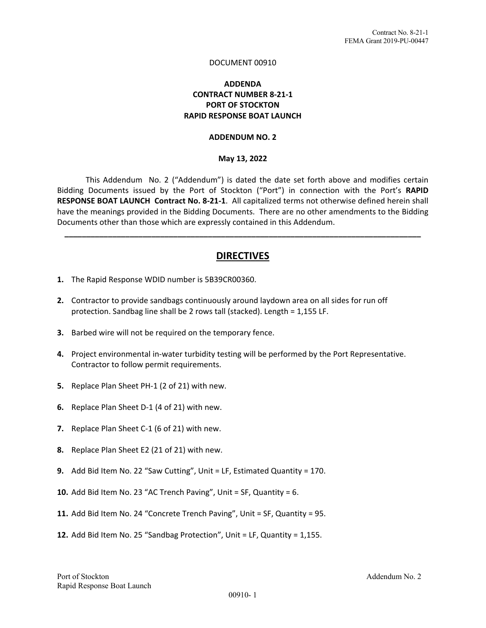#### DOCUMENT 00910

### **ADDENDA CONTRACT NUMBER 8‐21‐1 PORT OF STOCKTON RAPID RESPONSE BOAT LAUNCH**

#### **ADDENDUM NO. 2**

#### **May 13, 2022**

This Addendum No. 2 ("Addendum") is dated the date set forth above and modifies certain Bidding Documents issued by the Port of Stockton ("Port") in connection with the Port's **RAPID RESPONSE BOAT LAUNCH Contract No. 8‐21‐1**. All capitalized terms not otherwise defined herein shall have the meanings provided in the Bidding Documents. There are no other amendments to the Bidding Documents other than those which are expressly contained in this Addendum.

## **DIRECTIVES**

**\_\_\_\_\_\_\_\_\_\_\_\_\_\_\_\_\_\_\_\_\_\_\_\_\_\_\_\_\_\_\_\_\_\_\_\_\_\_\_\_\_\_\_\_\_\_\_\_\_\_\_\_\_\_\_\_\_\_\_\_\_\_\_\_\_\_\_\_\_\_\_\_\_\_\_\_\_\_\_\_\_\_** 

- **1.** The Rapid Response WDID number is 5B39CR00360.
- **2.** Contractor to provide sandbags continuously around laydown area on all sides for run off protection. Sandbag line shall be 2 rows tall (stacked). Length = 1,155 LF.
- **3.** Barbed wire will not be required on the temporary fence.
- **4.** Project environmental in‐water turbidity testing will be performed by the Port Representative. Contractor to follow permit requirements.
- **5.** Replace Plan Sheet PH‐1 (2 of 21) with new.
- **6.** Replace Plan Sheet D‐1 (4 of 21) with new.
- **7.** Replace Plan Sheet C‐1 (6 of 21) with new.
- **8.** Replace Plan Sheet E2 (21 of 21) with new.
- **9.** Add Bid Item No. 22 "Saw Cutting", Unit = LF, Estimated Quantity = 170.
- **10.** Add Bid Item No. 23 "AC Trench Paving", Unit = SF, Quantity = 6.
- **11.** Add Bid Item No. 24 "Concrete Trench Paving", Unit = SF, Quantity = 95.
- **12.** Add Bid Item No. 25 "Sandbag Protection", Unit = LF, Quantity = 1,155.